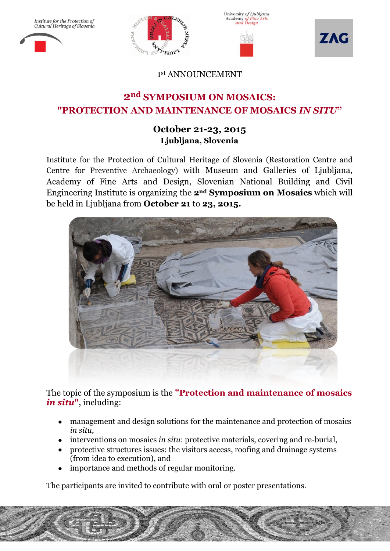Institute for the Protection of<br>Cultural Heritage of Slovenia







1 st ANNOUNCEMENT

# **2nd SYMPOSIUM ON MOSAICS: "PROTECTION AND MAINTENANCE OF MOSAICS** *IN SITU***"**

## **October 21-23, 2015 Ljubljana, Slovenia**

Institute for the Protection of Cultural Heritage of Slovenia (Restoration Centre and Centre for Preventive Archaeology) with Museum and Galleries of Ljubljana, Academy of Fine Arts and Design, Slovenian National Building and Civil Engineering Institute is organizing the **2nd Symposium on Mosaics** which will be held in Ljubljana from **October 21** to **23, 2015.**



The topic of the symposium is the **"Protection and maintenance of mosaics** *in situ***"**, including:

- management and design solutions for the maintenance and protection of mosaics *in situ,*
- interventions on mosaics *in situ*: protective materials, covering and re-burial,
- protective structures issues: the visitors access, roofing and drainage systems (from idea to execution), and
- importance and methods of regular monitoring.

 $\mathcal{L}=\mathcal{L}^{\text{max}}$ 

The participants are invited to contribute with oral or poster presentations.